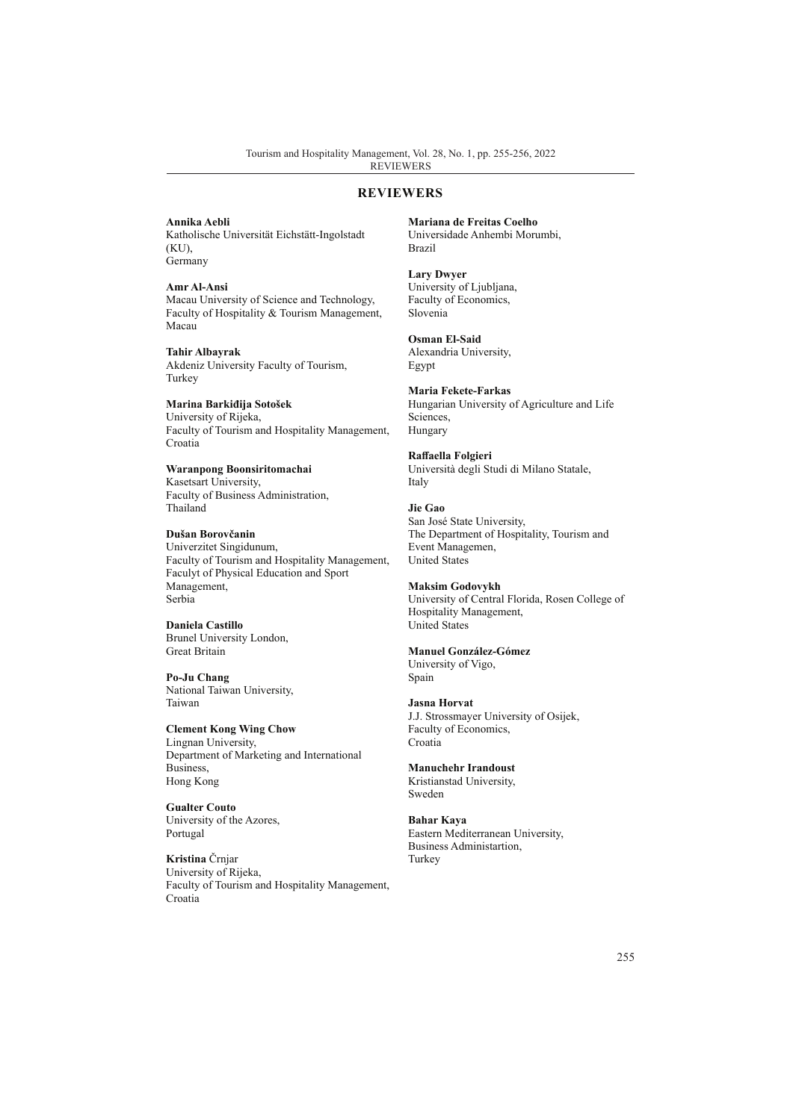## **REVIEWERS**

**Annika Aebli**

Katholische Universität Eichstätt-Ingolstadt (KU), Germany

**Amr Al-Ansi** Macau University of Science and Technology, Faculty of Hospitality & Tourism Management, Macau

**Tahir Albayrak** Akdeniz University Faculty of Tourism, Turkey

**Marina Barkiđija Sotošek** University of Rijeka, Faculty of Tourism and Hospitality Management, Croatia

**Waranpong Boonsiritomachai** Kasetsart University, Faculty of Business Administration, Thailand

**Dušan Borovčanin** Univerzitet Singidunum, Faculty of Tourism and Hospitality Management, Faculyt of Physical Education and Sport Management, Serbia

**Daniela Castillo** Brunel University London, Great Britain

**Po-Ju Chang** National Taiwan University, Taiwan

**Clement Kong Wing Chow** Lingnan University, Department of Marketing and International Business, Hong Kong

**Gualter Couto** University of the Azores, Portugal

**Kristina** Črnjar University of Rijeka, Faculty of Tourism and Hospitality Management, Croatia

**Mariana de Freitas Coelho** Universidade Anhembi Morumbi, Brazil

**Lary Dwyer** University of Ljubljana, Faculty of Economics, Slovenia

**Osman El-Said** Alexandria University, Egypt

**Maria Fekete-Farkas** Hungarian University of Agriculture and Life Sciences, Hungary

**Raffaella Folgieri** Università degli Studi di Milano Statale, Italy

**Jie Gao** San José State University, The Department of Hospitality, Tourism and Event Managemen, United States

**Maksim Godovykh** University of Central Florida, Rosen College of Hospitality Management, United States

**Manuel González-Gómez** University of Vigo,

Spain

**Jasna Horvat** J.J. Strossmayer University of Osijek, Faculty of Economics, Croatia

**Manuchehr Irandoust** Kristianstad University, Sweden

**Bahar Kaya** Eastern Mediterranean University, Business Administartion, Turkey